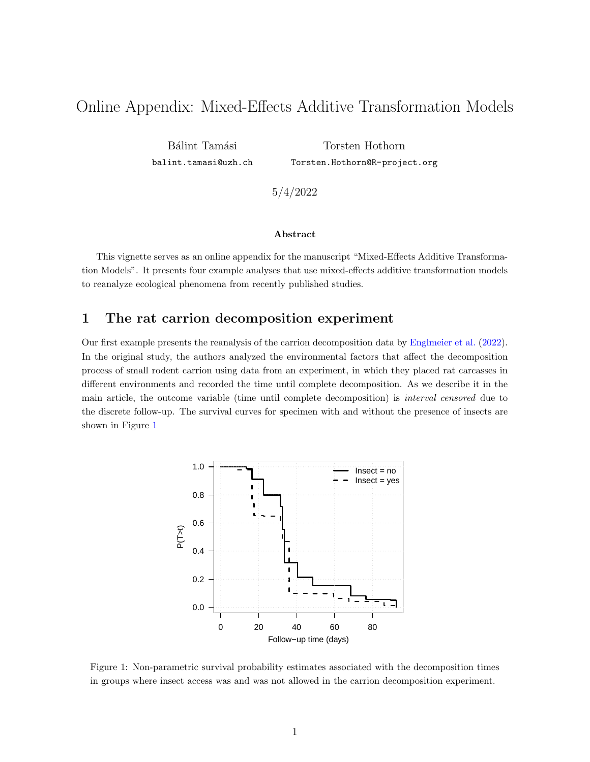# Online Appendix: Mixed-Effects Additive Transformation Models

Bálint Tamási <balint.tamasi@uzh.ch>

Torsten Hothorn <Torsten.Hothorn@R-project.org>

5/4/2022

#### Abstract

This vignette serves as an online appendix for the manuscript "Mixed-Effects Additive Transformation Models". It presents four example analyses that use mixed-effects additive transformation models to reanalyze ecological phenomena from recently published studies.

### 1 The rat carrion decomposition experiment

<span id="page-0-0"></span>Our first example presents the reanalysis of the carrion decomposition data by [Englmeier et al.](#page-20-0) [\(2022\)](#page-20-0). In the original study, the authors analyzed the environmental factors that affect the decomposition process of small rodent carrion using data from an experiment, in which they placed rat carcasses in different environments and recorded the time until complete decomposition. As we describe it in the main article, the outcome variable (time until complete decomposition) is interval censored due to the discrete follow-up. The survival curves for specimen with and without the presence of insects are shown in Figure [1](#page-0-0)



Figure 1: Non-parametric survival probability estimates associated with the decomposition times in groups where insect access was and was not allowed in the carrion decomposition experiment.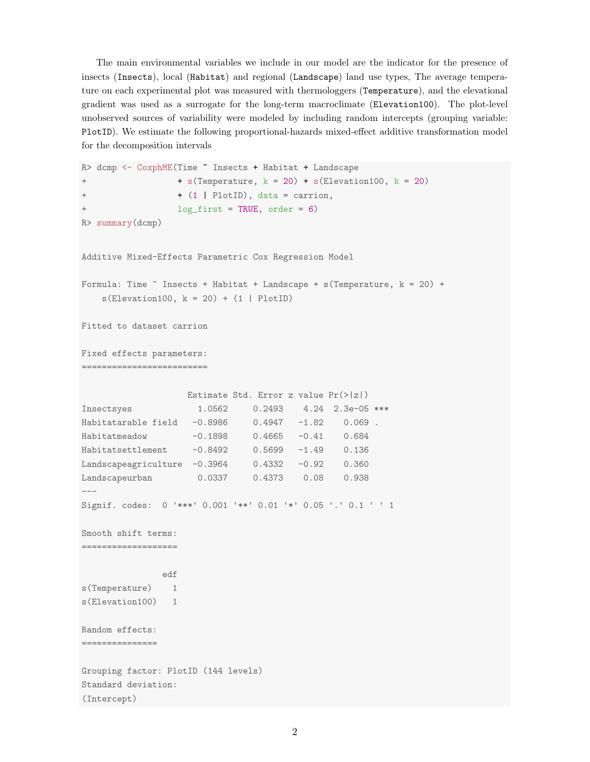The main environmental variables we include in our model are the indicator for the presence of insects (Insects), local (Habitat) and regional (Landscape) land use types, The average temperature on each experimental plot was measured with thermologgers (Temperature), and the elevational gradient was used as a surrogate for the long-term macroclimate (Elevation100). The plot-level unobserved sources of variability were modeled by including random intercepts (grouping variable: PlotID). We estimate the following proportional-hazards mixed-effect additive transformation model for the decomposition intervals

```
R> dcmp <- CoxphME(Time ~ Insects + Habitat + Landscape
+ + s(Temperature, k = 20) + s(Elevation100, k = 20)
+ + (1 | PlotID), data = carrion,
+ log_first = TRUE, order = 6)
R> summary(dcmp)
Additive Mixed-Effects Parametric Cox Regression Model
Formula: Time \tilde{ } Insects + Habitat + Landscape + s(Temperature, k = 20) +
   s(Elementon100, k = 20) + (1 | PlotID)Fitted to dataset carrion
Fixed effects parameters:
=========================
                  Estimate Std. Error z value Pr(>|z|)
Insectsyes 1.0562 0.2493 4.24 2.3e-05 ***
Habitatarable field -0.8986 0.4947 -1.82 0.069 .
Habitatmeadow -0.1898 0.4665 -0.41 0.684
Habitatsettlement -0.8492 0.5699 -1.49 0.136
Landscapeagriculture -0.3964 0.4332 -0.92 0.360
Landscapeurban 0.0337 0.4373 0.08 0.938
---Signif. codes: 0 '***' 0.001 '**' 0.01 '*' 0.05 '.' 0.1 ' ' 1
Smooth shift terms:
===================
              edf
s(Temperature) 1
s(Elevation100) 1
Random effects:
===============
Grouping factor: PlotID (144 levels)
Standard deviation:
(Intercept)
```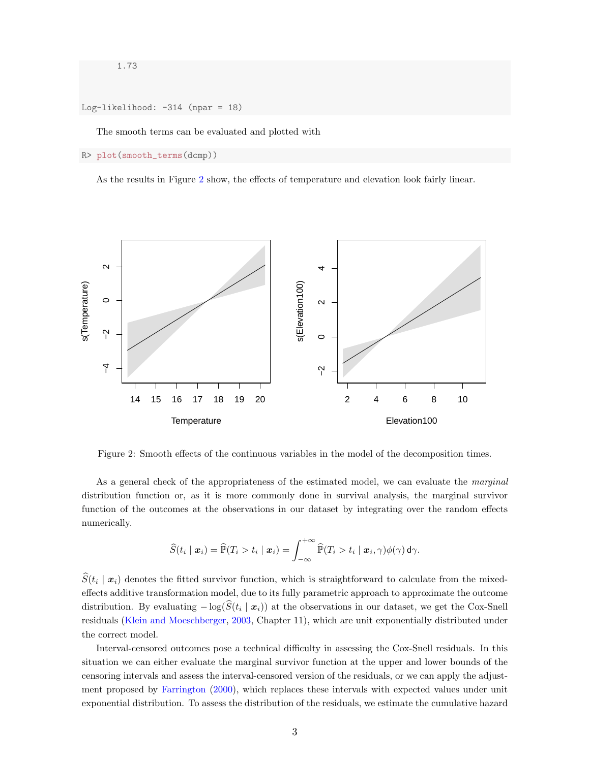1.73

Log-likelihood: -314 (npar = 18)

The smooth terms can be evaluated and plotted with

R> plot(smooth\_terms(dcmp))

As the results in Figure [2](#page-2-0) show, the effects of temperature and elevation look fairly linear.

<span id="page-2-0"></span>

Figure 2: Smooth effects of the continuous variables in the model of the decomposition times.

As a general check of the appropriateness of the estimated model, we can evaluate the *marginal* distribution function or, as it is more commonly done in survival analysis, the marginal survivor function of the outcomes at the observations in our dataset by integrating over the random effects numerically.

$$
\widehat{S}(t_i \mid \boldsymbol{x}_i) = \widehat{\mathbb{P}}(T_i > t_i \mid \boldsymbol{x}_i) = \int_{-\infty}^{+\infty} \widehat{\mathbb{P}}(T_i > t_i \mid \boldsymbol{x}_i, \gamma) \phi(\gamma) \, \mathsf{d}\gamma.
$$

 $S(t_i | x_i)$  denotes the fitted survivor function, which is straightforward to calculate from the mixedeffects additive transformation model, due to its fully parametric approach to approximate the outcome distribution. By evaluating  $-\log(S(t_i \mid \boldsymbol{x}_i))$  at the observations in our dataset, we get the Cox-Snell residuals [\(Klein and Moeschberger,](#page-20-1) [2003,](#page-20-1) Chapter 11), which are unit exponentially distributed under the correct model.

Interval-censored outcomes pose a technical difficulty in assessing the Cox-Snell residuals. In this situation we can either evaluate the marginal survivor function at the upper and lower bounds of the censoring intervals and assess the interval-censored version of the residuals, or we can apply the adjustment proposed by [Farrington](#page-20-2) [\(2000\)](#page-20-2), which replaces these intervals with expected values under unit exponential distribution. To assess the distribution of the residuals, we estimate the cumulative hazard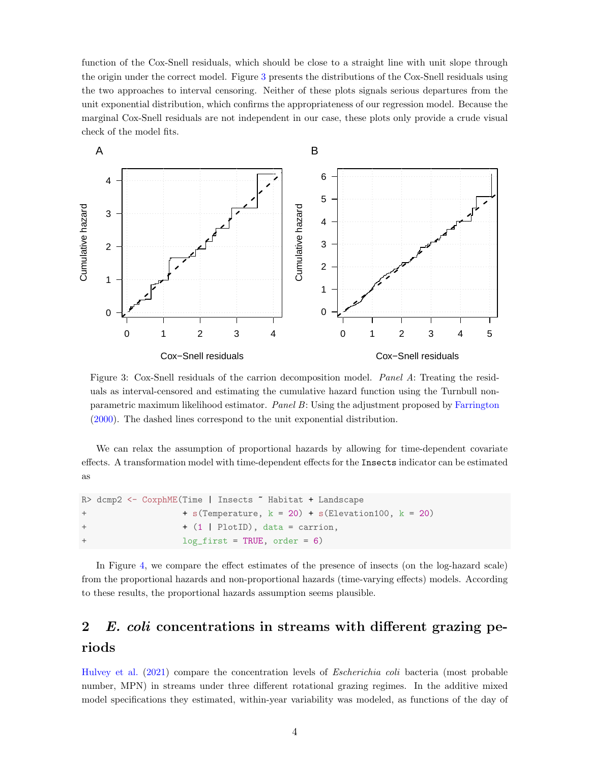function of the Cox-Snell residuals, which should be close to a straight line with unit slope through the origin under the correct model. Figure [3](#page-3-0) presents the distributions of the Cox-Snell residuals using the two approaches to interval censoring. Neither of these plots signals serious departures from the unit exponential distribution, which confirms the appropriateness of our regression model. Because the marginal Cox-Snell residuals are not independent in our case, these plots only provide a crude visual check of the model fits.

<span id="page-3-0"></span>

Figure 3: Cox-Snell residuals of the carrion decomposition model. Panel A: Treating the residuals as interval-censored and estimating the cumulative hazard function using the Turnbull nonparametric maximum likelihood estimator. Panel B: Using the adjustment proposed by [Farrington](#page-20-2) [\(2000\)](#page-20-2). The dashed lines correspond to the unit exponential distribution.

We can relax the assumption of proportional hazards by allowing for time-dependent covariate effects. A transformation model with time-dependent effects for the Insects indicator can be estimated as

|     | R> dcmp2 <- CoxphME(Time   Insects " Habitat + Landscape   |
|-----|------------------------------------------------------------|
| $+$ | $+$ s(Temperature, $k = 20$ ) + s(Elevation100, $k = 20$ ) |
| $+$ | $+$ (1   PlotID), data = carrion,                          |
| $+$ | $log\_first = TRUE, order = 6)$                            |

In Figure [4,](#page-4-0) we compare the effect estimates of the presence of insects (on the log-hazard scale) from the proportional hazards and non-proportional hazards (time-varying effects) models. According to these results, the proportional hazards assumption seems plausible.

## <span id="page-3-1"></span>2 E. coli concentrations in streams with different grazing periods

[Hulvey et al.](#page-20-3) [\(2021\)](#page-20-3) compare the concentration levels of Escherichia coli bacteria (most probable number, MPN) in streams under three different rotational grazing regimes. In the additive mixed model specifications they estimated, within-year variability was modeled, as functions of the day of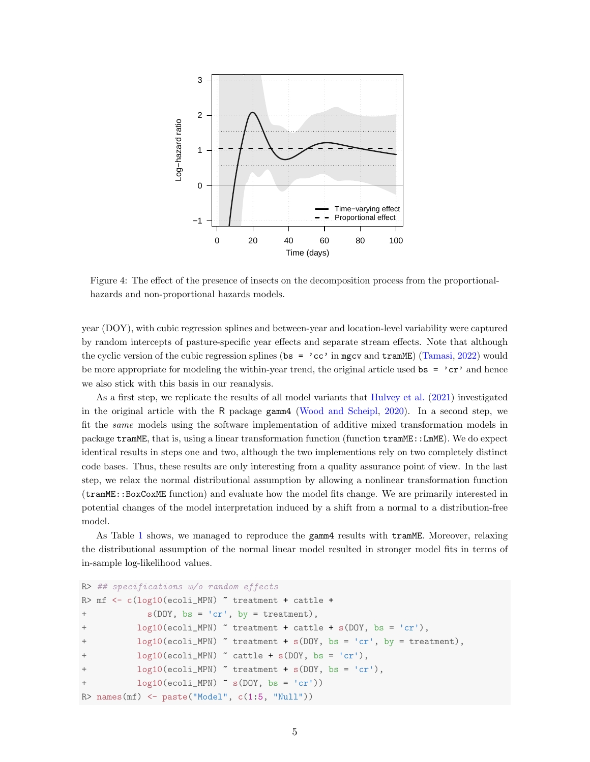<span id="page-4-0"></span>

Figure 4: The effect of the presence of insects on the decomposition process from the proportionalhazards and non-proportional hazards models.

year (DOY), with cubic regression splines and between-year and location-level variability were captured by random intercepts of pasture-specific year effects and separate stream effects. Note that although the cyclic version of the cubic regression splines (bs =  $\,^{\circ}$  cc' in mgcv and tramME) [\(Tamasi,](#page-20-4) [2022\)](#page-20-4) would be more appropriate for modeling the within-year trend, the original article used  $\mathbf{bs} = \text{'}cr'$  and hence we also stick with this basis in our reanalysis.

As a first step, we replicate the results of all model variants that [Hulvey et al.](#page-20-3) [\(2021\)](#page-20-3) investigated in the original article with the R package gamm4 [\(Wood and Scheipl,](#page-20-5) [2020\)](#page-20-5). In a second step, we fit the same models using the software implementation of additive mixed transformation models in package tramME, that is, using a linear transformation function (function tramME::LmME). We do expect identical results in steps one and two, although the two implementions rely on two completely distinct code bases. Thus, these results are only interesting from a quality assurance point of view. In the last step, we relax the normal distributional assumption by allowing a nonlinear transformation function (tramME::BoxCoxME function) and evaluate how the model fits change. We are primarily interested in potential changes of the model interpretation induced by a shift from a normal to a distribution-free model.

As Table [1](#page-5-0) shows, we managed to reproduce the gamm4 results with tramME. Moreover, relaxing the distributional assumption of the normal linear model resulted in stronger model fits in terms of in-sample log-likelihood values.

```
R> ## specifications w/o random effects
R> mf <- c(log10(ecoli_MPN) " treatment + cattle +
+ s(DOY, bs = 'cr', by = treatment),
          log10(ecoli_MPN) " treatment + cattle + s(DOY, bs = 'cr'),
+ log10(ecoli_MPN) ~ treatment + s(DOY, bs = 'cr', by = treatment),
          log10(ecoli_MPN) \tilde{ }</math> cattle + s(DOY, bs = 'cr'),+ log10(ecoli_MPN) ~ treatment + s(DOY, bs = 'cr'),
+ log10(ecoli_MPN) ~ s(DOY, bs = 'cr'))
R> names(mf) <- paste("Model", c(1:5, "Null"))
```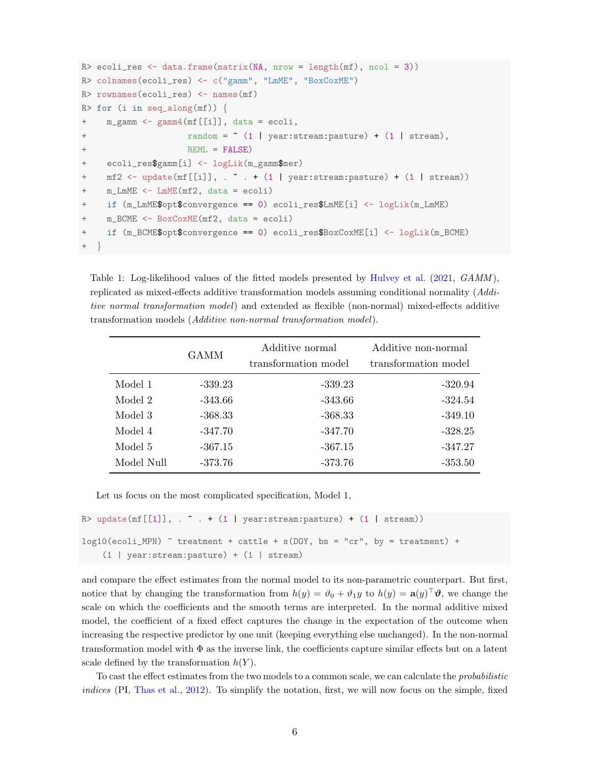```
R> ecoli_res <- data.frame(matrix(NA, nrow = length(mf), ncol = 3))
R> colnames(ecoli_res) <- c("gamm", "LmME", "BoxCoxME")
R> rownames(ecoli_res) <- names(mf)
R> for (i in seq_along(mf)) {
+ m_gamm <- gamm4(mf[[i]], data = ecoli,
+ random = ~ (1 | year:stream:pasture) + (1 | stream),
+ REML = FALSE)
+ ecoli_res$gamm[i] <- logLik(m_gamm$mer)
    mf2 \leftarrow update(mf[[i]], . . . + (1 | year:stream:pasture) + (1 | stream))m_LmME < - LmME(mf2, data = ecoli)if (m_LmME$opt$convergence == 0) ecoli_res$LmME[i] <- logLik(m_LmME)
    m_BCME \leq - BoxCoxME(mf2, data = ecoli)
+ if (m_BCME$opt$convergence == 0) ecoli_res$BoxCoxME[i] <- logLik(m_BCME)
+ }
```
<span id="page-5-0"></span>Table 1: Log-likelihood values of the fitted models presented by [Hulvey et al.](#page-20-3) [\(2021,](#page-20-3) *GAMM*), replicated as mixed-effects additive transformation models assuming conditional normality (Additive normal transformation model) and extended as flexible (non-normal) mixed-effects additive transformation models (Additive non-normal transformation model).

|            | GAMM      | Additive normal<br>transformation model | Additive non-normal<br>transformation model |
|------------|-----------|-----------------------------------------|---------------------------------------------|
| Model 1    | $-339.23$ | $-339.23$                               | $-320.94$                                   |
| Model 2    | $-343.66$ | $-343.66$                               | $-324.54$                                   |
| Model 3    | $-368.33$ | $-368.33$                               | $-349.10$                                   |
| Model 4    | $-347.70$ | $-347.70$                               | $-328.25$                                   |
| Model 5    | $-367.15$ | $-367.15$                               | $-347.27$                                   |
| Model Null | -373.76   | $-373.76$                               | $-353.50$                                   |

Let us focus on the most complicated specification, Model 1,

```
R> update(mf[[1]], \ldots \ldots + (1 | year:stream:pasture) + (1 | stream))
log10(ecoli_MPN) \tilde{ } treatment + cattle + s(DOY, bs = "cr", by = treatment) +
    (1 | year:stream:pasture) + (1 | stream)
```
and compare the effect estimates from the normal model to its non-parametric counterpart. But first, notice that by changing the transformation from  $h(y) = \vartheta_0 + \vartheta_1 y$  to  $h(y) = \mathbf{a}(y)^\top \vartheta$ , we change the scale on which the coefficients and the smooth terms are interpreted. In the normal additive mixed model, the coefficient of a fixed effect captures the change in the expectation of the outcome when increasing the respective predictor by one unit (keeping everything else unchanged). In the non-normal transformation model with  $\Phi$  as the inverse link, the coefficients capture similar effects but on a latent scale defined by the transformation  $h(Y)$ .

To cast the effect estimates from the two models to a common scale, we can calculate the probabilistic indices (PI, [Thas et al.,](#page-20-6) [2012\)](#page-20-6). To simplify the notation, first, we will now focus on the simple, fixed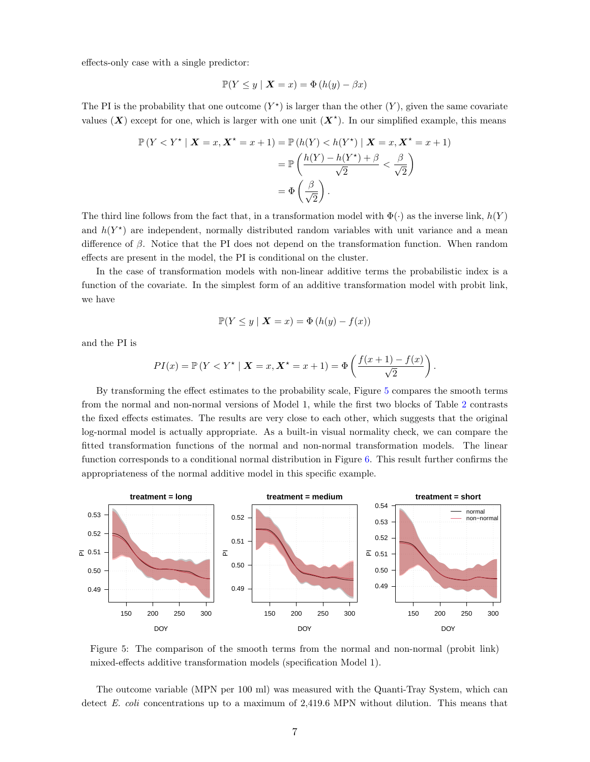effects-only case with a single predictor:

$$
\mathbb{P}(Y \le y \mid \mathbf{X} = x) = \Phi(h(y) - \beta x)
$$

The PI is the probability that one outcome  $(Y^*)$  is larger than the other  $(Y)$ , given the same covariate values  $(X)$  except for one, which is larger with one unit  $(X^*)$ . In our simplified example, this means

$$
\mathbb{P}\left(Y < Y^{\star} \mid \mathbf{X} = x, \mathbf{X}^{\star} = x + 1\right) = \mathbb{P}\left(h(Y) < h(Y^{\star}) \mid \mathbf{X} = x, \mathbf{X}^{\star} = x + 1\right)
$$
\n
$$
= \mathbb{P}\left(\frac{h(Y) - h(Y^{\star}) + \beta}{\sqrt{2}} < \frac{\beta}{\sqrt{2}}\right)
$$
\n
$$
= \Phi\left(\frac{\beta}{\sqrt{2}}\right).
$$

The third line follows from the fact that, in a transformation model with  $\Phi(\cdot)$  as the inverse link,  $h(Y)$ and  $h(Y^*)$  are independent, normally distributed random variables with unit variance and a mean difference of β. Notice that the PI does not depend on the transformation function. When random effects are present in the model, the PI is conditional on the cluster.

In the case of transformation models with non-linear additive terms the probabilistic index is a function of the covariate. In the simplest form of an additive transformation model with probit link, we have

$$
\mathbb{P}(Y \le y \mid \mathbf{X} = x) = \Phi(h(y) - f(x))
$$

and the PI is

$$
PI(x) = \mathbb{P}\left(Y < Y^\star \mid \mathbf{X} = x, \mathbf{X}^\star = x + 1\right) = \Phi\left(\frac{f(x+1) - f(x)}{\sqrt{2}}\right).
$$

By transforming the effect estimates to the probability scale, Figure [5](#page-6-0) compares the smooth terms from the normal and non-normal versions of Model 1, while the first two blocks of Table [2](#page-8-0) contrasts the fixed effects estimates. The results are very close to each other, which suggests that the original log-normal model is actually appropriate. As a built-in visual normality check, we can compare the fitted transformation functions of the normal and non-normal transformation models. The linear function corresponds to a conditional normal distribution in Figure [6.](#page-7-0) This result further confirms the appropriateness of the normal additive model in this specific example.

<span id="page-6-0"></span>

Figure 5: The comparison of the smooth terms from the normal and non-normal (probit link) mixed-effects additive transformation models (specification Model 1).

The outcome variable (MPN per 100 ml) was measured with the Quanti-Tray System, which can detect E. coli concentrations up to a maximum of 2,419.6 MPN without dilution. This means that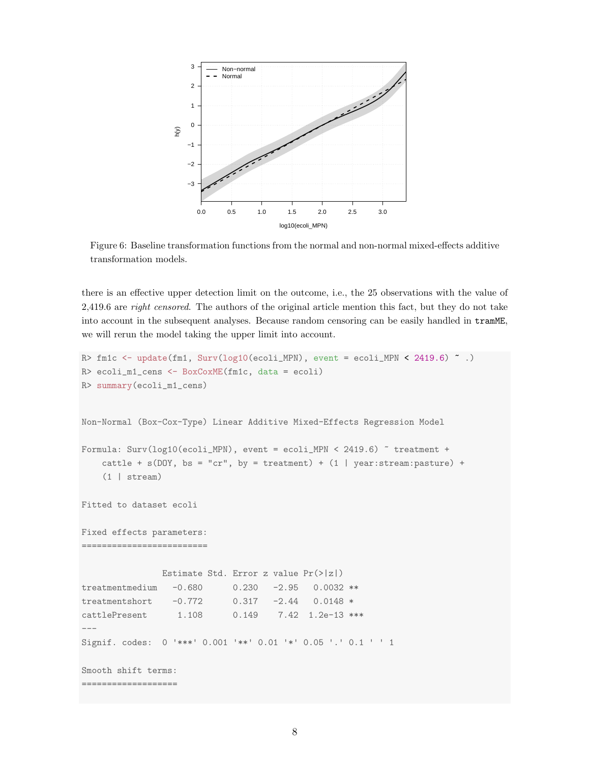<span id="page-7-0"></span>

Figure 6: Baseline transformation functions from the normal and non-normal mixed-effects additive transformation models.

there is an effective upper detection limit on the outcome, i.e., the 25 observations with the value of 2,419.6 are right censored. The authors of the original article mention this fact, but they do not take into account in the subsequent analyses. Because random censoring can be easily handled in tramME, we will rerun the model taking the upper limit into account.

```
R> fm1c <- update(fm1, Surv(log10(ecoli_MPN), event = ecoli_MPN < 2419.6) \degree.)
R> ecoli_m1_cens <- BoxCoxME(fm1c, data = ecoli)
R> summary(ecoli_m1_cens)
Non-Normal (Box-Cox-Type) Linear Additive Mixed-Effects Regression Model
Formula: Surv(log10(ecoli_MPN), event = ecoli_MPN < 2419.6) ~ treatment +
    cattle + s(DOY, bs = "cr", by = treatment) + (1 | year:stream:pasture) +(1 | stream)
Fitted to dataset ecoli
Fixed effects parameters:
=========================
               Estimate Std. Error z value Pr(>|z|)
treatmentmedium -0.680 0.230 -2.95 0.0032 **
treatmentshort -0.772 0.317 -2.44 0.0148 *
cattlePresent 1.108 0.149 7.42 1.2e-13 ***
---
Signif. codes: 0 '***' 0.001 '**' 0.01 '*' 0.05 '.' 0.1 ' ' 1
Smooth shift terms:
===================
```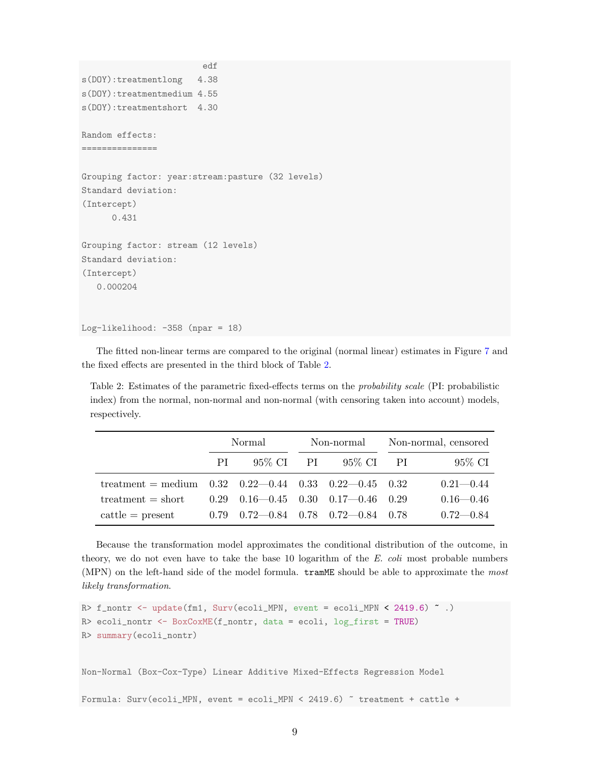```
edf
s(DOY):treatmentlong 4.38
s(DOY):treatmentmedium 4.55
s(DOY):treatmentshort 4.30
Random effects:
===============
Grouping factor: year:stream:pasture (32 levels)
Standard deviation:
(Intercept)
      0.431
Grouping factor: stream (12 levels)
Standard deviation:
(Intercept)
   0.000204
Log-likelihood: -358 (npar = 18)
```
The fitted non-linear terms are compared to the original (normal linear) estimates in Figure [7](#page-9-0) and the fixed effects are presented in the third block of Table [2.](#page-8-0)

<span id="page-8-0"></span>Table 2: Estimates of the parametric fixed-effects terms on the probability scale (PI: probabilistic index) from the normal, non-normal and non-normal (with censoring taken into account) models, respectively.

|                                                                                     | Normal |                                                  | Non-normal |          | Non-normal, censored |               |
|-------------------------------------------------------------------------------------|--------|--------------------------------------------------|------------|----------|----------------------|---------------|
|                                                                                     | PL.    | 95% CI PI                                        |            | 95% CIPI |                      | 95% CI        |
| treatment = medium $0.32 \quad 0.22 - 0.44 \quad 0.33 \quad 0.22 - 0.45 \quad 0.32$ |        |                                                  |            |          |                      | $0.21 - 0.44$ |
| $treatment = short$                                                                 |        | $0.29$ $0.16 - 0.45$ $0.30$ $0.17 - 0.46$ $0.29$ |            |          |                      | $0.16 - 0.46$ |
| $\text{cattle} = \text{present}$                                                    |        | $0.79$ $0.72 - 0.84$ $0.78$ $0.72 - 0.84$ $0.78$ |            |          |                      | $0.72 - 0.84$ |

Because the transformation model approximates the conditional distribution of the outcome, in theory, we do not even have to take the base 10 logarithm of the  $E$ . coli most probable numbers (MPN) on the left-hand side of the model formula. tramME should be able to approximate the most likely transformation.

```
R> f_nontr <- update(fm1, Surv(ecoli_MPN, event = ecoli_MPN < 2419.6) ~ .)
R> ecoli_nontr <- BoxCoxME(f_nontr, data = ecoli, log_first = TRUE)
R> summary(ecoli_nontr)
```
Non-Normal (Box-Cox-Type) Linear Additive Mixed-Effects Regression Model

Formula: Surv(ecoli\_MPN, event = ecoli\_MPN < 2419.6) ~ treatment + cattle +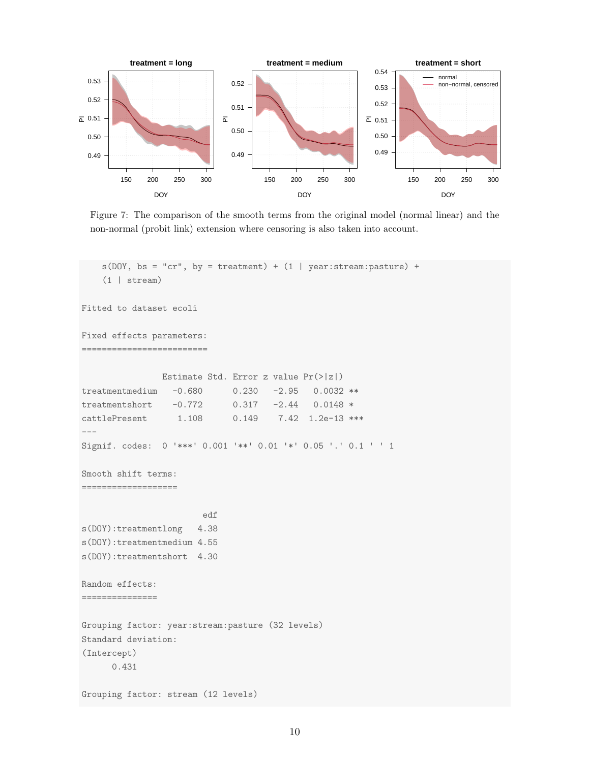<span id="page-9-0"></span>

Figure 7: The comparison of the smooth terms from the original model (normal linear) and the non-normal (probit link) extension where censoring is also taken into account.

```
s(DOY, bs = "cr", by = treatment) + (1 | year:stream:pasture) +(1 | stream)
Fitted to dataset ecoli
Fixed effects parameters:
=========================
               Estimate Std. Error z value Pr(>|z|)
treatmentmedium -0.680 0.230 -2.95 0.0032 **
treatmentshort -0.772 0.317 -2.44 0.0148 *
cattlePresent 1.108 0.149 7.42 1.2e-13 ***
---
Signif. codes: 0 '***' 0.001 '**' 0.01 '*' 0.05 '.' 0.1 ' ' 1
Smooth shift terms:
===================
                       edf
s(DOY):treatmentlong 4.38
s(DOY):treatmentmedium 4.55
s(DOY):treatmentshort 4.30
Random effects:
===============
Grouping factor: year:stream:pasture (32 levels)
Standard deviation:
(Intercept)
     0.431
Grouping factor: stream (12 levels)
```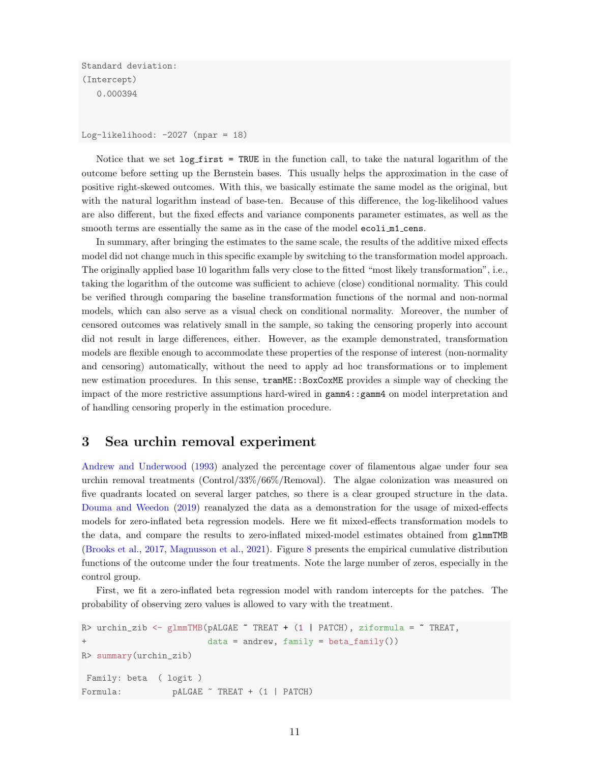Standard deviation: (Intercept) 0.000394

Log-likelihood:  $-2027$  (npar = 18)

Notice that we set  $log\_first = TRUE$  in the function call, to take the natural logarithm of the outcome before setting up the Bernstein bases. This usually helps the approximation in the case of positive right-skewed outcomes. With this, we basically estimate the same model as the original, but with the natural logarithm instead of base-ten. Because of this difference, the log-likelihood values are also different, but the fixed effects and variance components parameter estimates, as well as the smooth terms are essentially the same as in the case of the model ecoli  $m1$  cens.

In summary, after bringing the estimates to the same scale, the results of the additive mixed effects model did not change much in this specific example by switching to the transformation model approach. The originally applied base 10 logarithm falls very close to the fitted "most likely transformation", i.e., taking the logarithm of the outcome was sufficient to achieve (close) conditional normality. This could be verified through comparing the baseline transformation functions of the normal and non-normal models, which can also serve as a visual check on conditional normality. Moreover, the number of censored outcomes was relatively small in the sample, so taking the censoring properly into account did not result in large differences, either. However, as the example demonstrated, transformation models are flexible enough to accommodate these properties of the response of interest (non-normality and censoring) automatically, without the need to apply ad hoc transformations or to implement new estimation procedures. In this sense, tramME::BoxCoxME provides a simple way of checking the impact of the more restrictive assumptions hard-wired in gamm4::gamm4 on model interpretation and of handling censoring properly in the estimation procedure.

### 3 Sea urchin removal experiment

[Andrew and Underwood](#page-20-7) [\(1993\)](#page-20-7) analyzed the percentage cover of filamentous algae under four sea urchin removal treatments (Control/33%/66%/Removal). The algae colonization was measured on five quadrants located on several larger patches, so there is a clear grouped structure in the data. [Douma and Weedon](#page-20-8) [\(2019\)](#page-20-8) reanalyzed the data as a demonstration for the usage of mixed-effects models for zero-inflated beta regression models. Here we fit mixed-effects transformation models to the data, and compare the results to zero-inflated mixed-model estimates obtained from glmmTMB [\(Brooks et al.,](#page-20-9) [2017,](#page-20-9) [Magnusson et al.,](#page-20-10) [2021\)](#page-20-10). Figure [8](#page-11-0) presents the empirical cumulative distribution functions of the outcome under the four treatments. Note the large number of zeros, especially in the control group.

First, we fit a zero-inflated beta regression model with random intercepts for the patches. The probability of observing zero values is allowed to vary with the treatment.

```
R> urchin_zib <- glmmTMB(pALGAE \tilde{ } TREAT + (1 | PATCH), ziformula = \tilde{ } TREAT,
+ data = andrew, family = beta_family())
R> summary(urchin_zib)
 Family: beta ( logit )
Formula: pALGAE ~ TREAT + (1 | PATCH)
```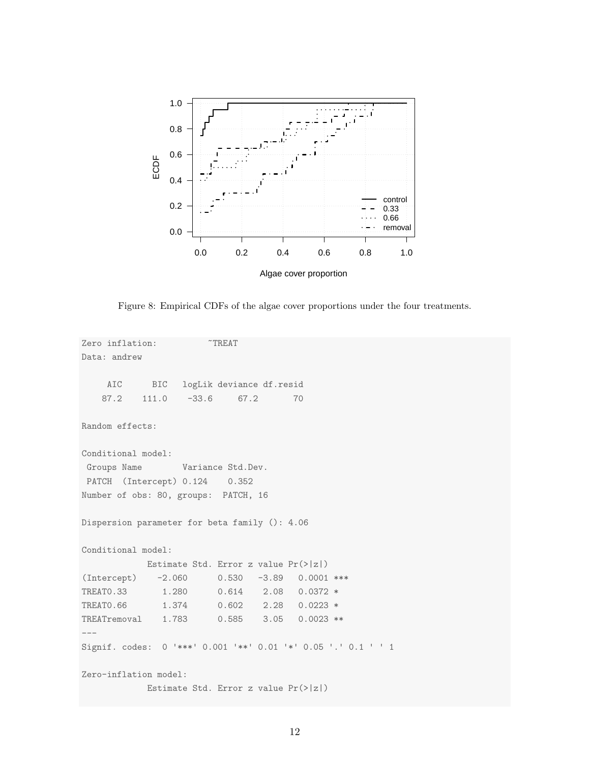<span id="page-11-0"></span>

Figure 8: Empirical CDFs of the algae cover proportions under the four treatments.

```
Zero inflation: T^TREAT
Data: andrew
    AIC BIC logLik deviance df.resid
   87.2 111.0 -33.6 67.2 70
Random effects:
Conditional model:
Groups Name Variance Std.Dev.
PATCH (Intercept) 0.124 0.352
Number of obs: 80, groups: PATCH, 16
Dispersion parameter for beta family (): 4.06
Conditional model:
           Estimate Std. Error z value Pr(>|z|)
(Intercept) -2.060 0.530 -3.89 0.0001 ***
TREAT0.33 1.280 0.614 2.08 0.0372 *
TREAT0.66 1.374 0.602 2.28 0.0223 *
TREATremoval 1.783 0.585 3.05 0.0023 **
---
Signif. codes: 0 '***' 0.001 '**' 0.01 '*' 0.05 '.' 0.1 ' ' 1
Zero-inflation model:
           Estimate Std. Error z value Pr(>|z|)
```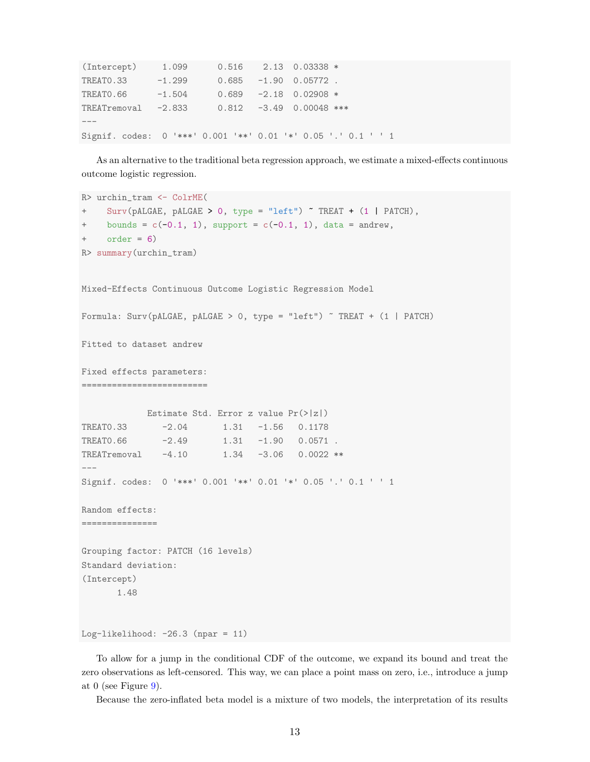| $(Intercept)$ 1.099 0.516 2.13 0.03338 *    |          |  |                                                               |  |
|---------------------------------------------|----------|--|---------------------------------------------------------------|--|
| TREATO.33                                   | $-1.299$ |  | $0.685 -1.90 0.05772$ .                                       |  |
| TREATO.66                                   | $-1.504$ |  | $0.689 -2.18 0.02908$ *                                       |  |
| TREATremoval -2.833 0.812 -3.49 0.00048 *** |          |  |                                                               |  |
|                                             |          |  |                                                               |  |
|                                             |          |  | Signif. codes: 0 '***' 0.001 '**' 0.01 '*' 0.05 '.' 0.1 ' ' 1 |  |

As an alternative to the traditional beta regression approach, we estimate a mixed-effects continuous outcome logistic regression.

```
R> urchin_tram <- ColrME(
+ Surv(pALGAE, pALGAE > 0, type = "left") ~ TREAT + (1 | PATCH),
+ bounds = c(-0.1, 1), support = c(-0.1, 1), data = andrew,
+ order = 6)
R> summary(urchin_tram)
Mixed-Effects Continuous Outcome Logistic Regression Model
Formula: Surv(pALGAE, pALGAE > 0, type = "left") ~ TREAT + (1 | PATCH)
Fitted to dataset andrew
Fixed effects parameters:
=========================
            Estimate Std. Error z value Pr(>|z|)
TREAT0.33 -2.04 1.31 -1.56 0.1178
TREAT0.66 -2.49 1.31 -1.90 0.0571.
TREATremoval -4.10    1.34 -3.06    0.0022 **
---
Signif. codes: 0 '***' 0.001 '**' 0.01 '*' 0.05 '.' 0.1 ' ' 1
Random effects:
===============
Grouping factor: PATCH (16 levels)
Standard deviation:
(Intercept)
      1.48
Log-likelihood: -26.3 (npar = 11)
```
To allow for a jump in the conditional CDF of the outcome, we expand its bound and treat the zero observations as left-censored. This way, we can place a point mass on zero, i.e., introduce a jump at 0 (see Figure  $9$ ).

Because the zero-inflated beta model is a mixture of two models, the interpretation of its results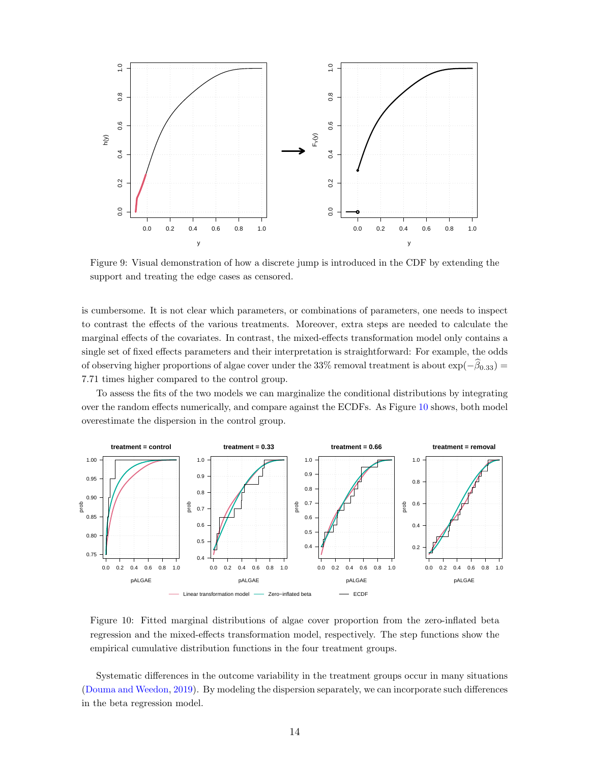<span id="page-13-0"></span>

Figure 9: Visual demonstration of how a discrete jump is introduced in the CDF by extending the support and treating the edge cases as censored.

is cumbersome. It is not clear which parameters, or combinations of parameters, one needs to inspect to contrast the effects of the various treatments. Moreover, extra steps are needed to calculate the marginal effects of the covariates. In contrast, the mixed-effects transformation model only contains a single set of fixed effects parameters and their interpretation is straightforward: For example, the odds of observing higher proportions of algae cover under the 33% removal treatment is about  $\exp(-\beta_{0.33})$  = 7.71 times higher compared to the control group.

To assess the fits of the two models we can marginalize the conditional distributions by integrating over the random effects numerically, and compare against the ECDFs. As Figure [10](#page-13-1) shows, both model overestimate the dispersion in the control group.

<span id="page-13-1"></span>

Figure 10: Fitted marginal distributions of algae cover proportion from the zero-inflated beta regression and the mixed-effects transformation model, respectively. The step functions show the empirical cumulative distribution functions in the four treatment groups.

Systematic differences in the outcome variability in the treatment groups occur in many situations [\(Douma and Weedon,](#page-20-8) [2019\)](#page-20-8). By modeling the dispersion separately, we can incorporate such differences in the beta regression model.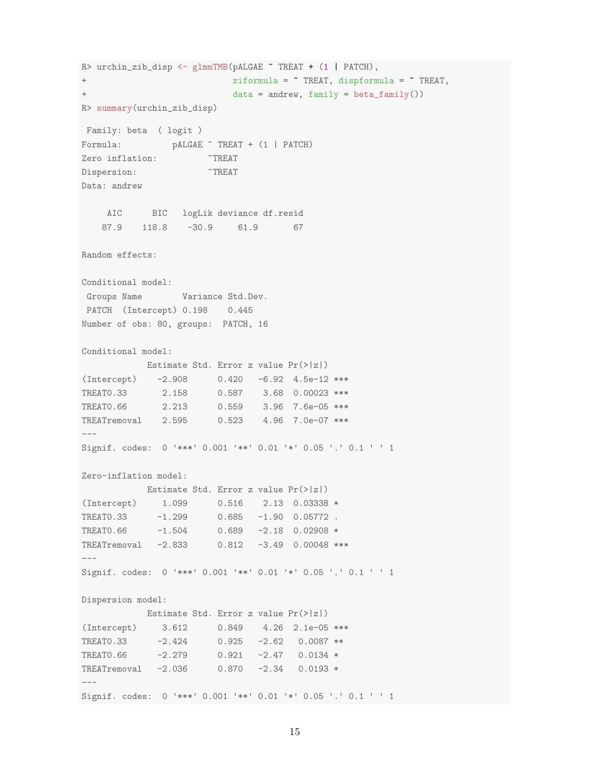R> urchin\_zib\_disp <- glmmTMB(pALGAE ~ TREAT + (1 | PATCH), + ziformula = ~ TREAT, dispformula = ~ TREAT, + data = andrew, family = beta\_family()) R> summary(urchin\_zib\_disp) Family: beta ( logit ) Formula: pALGAE ~ TREAT + (1 | PATCH) Zero inflation:  $T^T$ REAT Dispersion:  $T^T$ REAT Data: andrew AIC BIC logLik deviance df.resid 87.9 118.8 -30.9 61.9 67 Random effects: Conditional model: Groups Name Variance Std.Dev. PATCH (Intercept) 0.198 0.445 Number of obs: 80, groups: PATCH, 16 Conditional model: Estimate Std. Error z value Pr(>|z|) (Intercept) -2.908 0.420 -6.92 4.5e-12 \*\*\* TREAT0.33 2.158 0.587 3.68 0.00023 \*\*\* TREAT0.66 2.213 0.559 3.96 7.6e-05 \*\*\* TREATremoval 2.595 0.523 4.96 7.0e-07 \*\*\*  $---$ Signif. codes: 0 '\*\*\*' 0.001 '\*\*' 0.01 '\*' 0.05 '.' 0.1 ' ' 1 Zero-inflation model: Estimate Std. Error z value Pr(>|z|) (Intercept) 1.099 0.516 2.13 0.03338 \* TREAT0.33 -1.299 0.685 -1.90 0.05772. TREAT0.66 -1.504 0.689 -2.18 0.02908 \* TREATremoval -2.833 0.812 -3.49 0.00048 \*\*\* --- Signif. codes: 0 '\*\*\*' 0.001 '\*\*' 0.01 '\*' 0.05 '.' 0.1 ' ' 1 Dispersion model: Estimate Std. Error z value Pr(>|z|) (Intercept) 3.612 0.849 4.26 2.1e-05 \*\*\* TREAT0.33 -2.424 0.925 -2.62 0.0087 \*\* TREAT0.66 -2.279 0.921 -2.47 0.0134 \* TREATremoval -2.036 0.870 -2.34 0.0193 \* --- Signif. codes: 0 '\*\*\*' 0.001 '\*\*' 0.01 '\*' 0.05 '.' 0.1 ' ' 1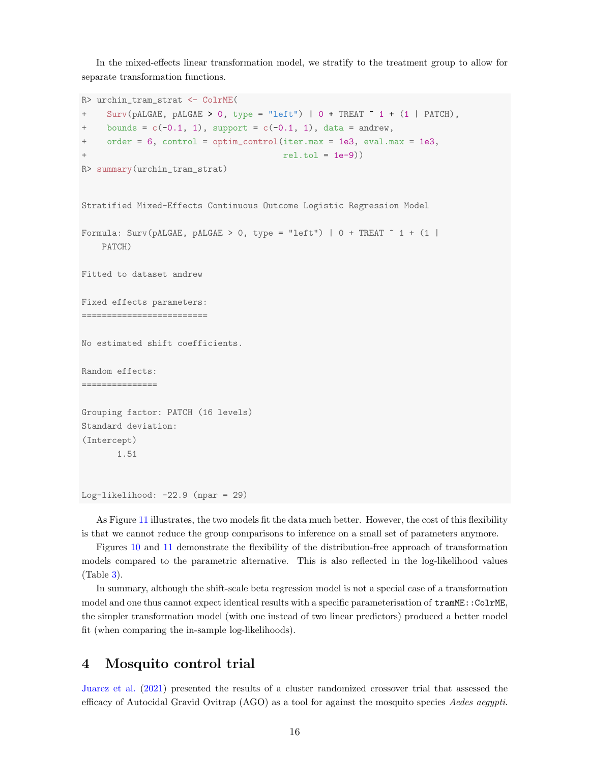In the mixed-effects linear transformation model, we stratify to the treatment group to allow for separate transformation functions.

```
R> urchin_tram_strat <- ColrME(
+ Surv(pALGAE, pALGAE > 0, type = "left") | 0 + TREAT ~ 1 + (1 | PATCH),
+ bounds = c(-0.1, 1), support = c(-0.1, 1), data = andrew,
+ order = 6, control = optim_control(iter.max = 1e3, eval.max = 1e3,
                                        rel.tol = 1e-9))
R> summary(urchin_tram_strat)
Stratified Mixed-Effects Continuous Outcome Logistic Regression Model
Formula: Surv(pALGAE, pALGAE > 0, type = "left") | 0 + TREAT \degree 1 + (1 |
    PATCH)
Fitted to dataset andrew
Fixed effects parameters:
=========================
No estimated shift coefficients.
Random effects:
===============
Grouping factor: PATCH (16 levels)
Standard deviation:
(Intercept)
       1.51
Log-likelihood: -22.9 (npar = 29)
```
As Figure [11](#page-16-0) illustrates, the two models fit the data much better. However, the cost of this flexibility is that we cannot reduce the group comparisons to inference on a small set of parameters anymore.

Figures [10](#page-13-1) and [11](#page-16-0) demonstrate the flexibility of the distribution-free approach of transformation models compared to the parametric alternative. This is also reflected in the log-likelihood values (Table [3\)](#page-16-1).

In summary, although the shift-scale beta regression model is not a special case of a transformation model and one thus cannot expect identical results with a specific parameterisation of  $\texttt{tramME}::\texttt{ColrME}$ , the simpler transformation model (with one instead of two linear predictors) produced a better model fit (when comparing the in-sample log-likelihoods).

### 4 Mosquito control trial

[Juarez et al.](#page-20-11) [\(2021\)](#page-20-11) presented the results of a cluster randomized crossover trial that assessed the efficacy of Autocidal Gravid Ovitrap (AGO) as a tool for against the mosquito species Aedes aegypti.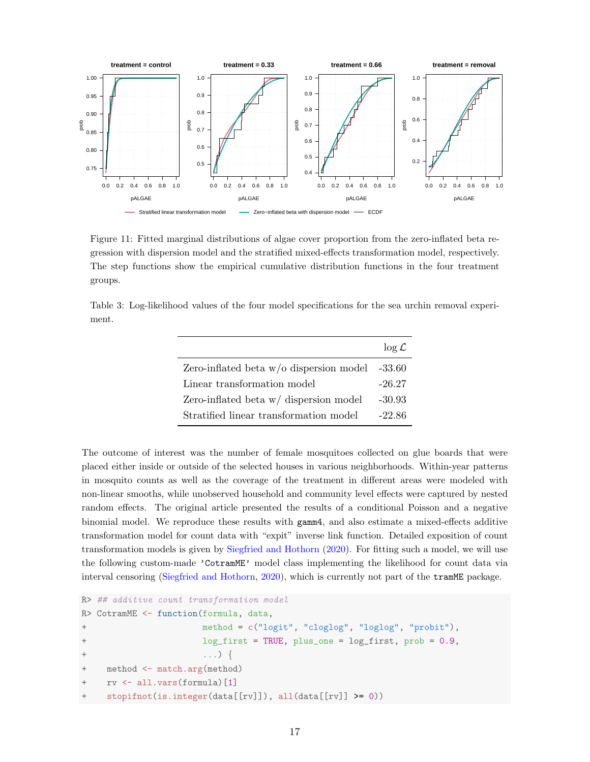<span id="page-16-0"></span>

Figure 11: Fitted marginal distributions of algae cover proportion from the zero-inflated beta regression with dispersion model and the stratified mixed-effects transformation model, respectively. The step functions show the empirical cumulative distribution functions in the four treatment groups.

<span id="page-16-1"></span>Table 3: Log-likelihood values of the four model specifications for the sea urchin removal experiment.

|                                           | $\log \mathcal{L}$ |
|-------------------------------------------|--------------------|
| Zero-inflated beta $w/o$ dispersion model | $-33.60$           |
| Linear transformation model               | $-26.27$           |
| Zero-inflated beta $w/di$ spersion model  | $-30.93$           |
| Stratified linear transformation model    | $-22.86$           |

The outcome of interest was the number of female mosquitoes collected on glue boards that were placed either inside or outside of the selected houses in various neighborhoods. Within-year patterns in mosquito counts as well as the coverage of the treatment in different areas were modeled with non-linear smooths, while unobserved household and community level effects were captured by nested random effects. The original article presented the results of a conditional Poisson and a negative binomial model. We reproduce these results with gamm4, and also estimate a mixed-effects additive transformation model for count data with "expit" inverse link function. Detailed exposition of count transformation models is given by [Siegfried and Hothorn](#page-20-12) [\(2020\)](#page-20-12). For fitting such a model, we will use the following custom-made 'CotramME' model class implementing the likelihood for count data via interval censoring [\(Siegfried and Hothorn,](#page-20-12) [2020\)](#page-20-12), which is currently not part of the tramME package.

```
R> ## additive count transformation model
R> CotramME <- function(formula, data,
+ method = c("logit", "cloglog", "loglog", "probit"),
+ log_first = TRUE, plus_one = log_first, prob = 0.9,
+ ...) {
+ method <- match.arg(method)
+ rv <- all.vars(formula)[1]
+ stopifnot(is.integer(data[[rv]]), all(data[[rv]] >= 0))
```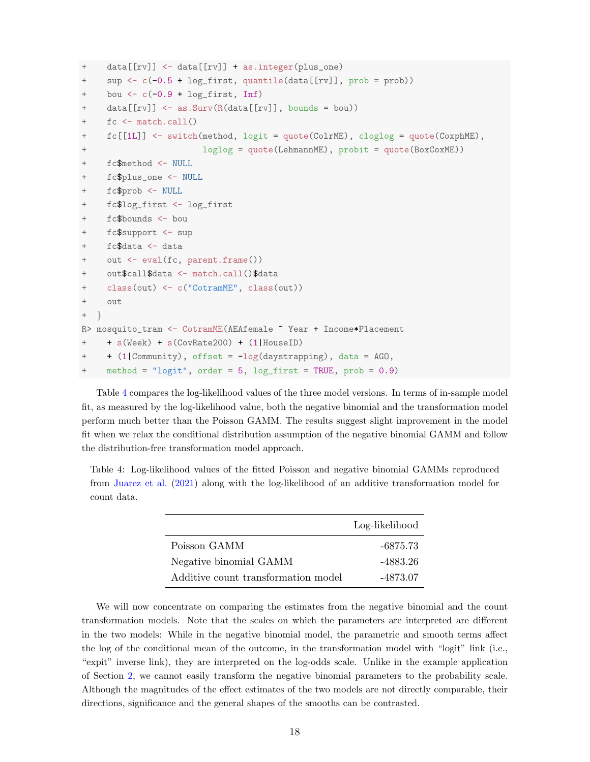```
+ data[[rv]] <- data[[rv]] + as.integer(plus_one)
+ sup <- c(-0.5 + log_first, quantile(data[[rv]], prob = prob))
+ bou \leftarrow c(-0.9 + log\_first, Inf)+ data[[rv]] <- as.Surv(R(data[[rv]], bounds = bou))
    fc \leftarrow \text{match.call}()+ fc[[1L]] <- switch(method, logit = quote(ColrME), cloglog = quote(CoxphME),
+ loglog = quote(LehmannME), probit = quote(BoxCoxME))
+ fc$method <- NULL
+ fc$plus_one <- NULL
+ fc$prob <- NULL
+ fc$log_first <- log_first
    fc$bounds < - bou
+ fc$support <- sup
+ fc$data <- data
+ out <- eval(fc, parent.frame())
+ out$call$data <- match.call()$data
+ class(out) <- c("CotramME", class(out))
+ out
+ }
R> mosquito_tram <- CotramME(AEAfemale ~ Year + Income*Placement
+ + s(Week) + s(CovRate200) + (1|HouseID)
+ + (1|Community), offset = -log(daystrapping), data = AGO,
    method = "logit", order = 5, log\_first = TRUE, prob = 0.9)
```
Table [4](#page-17-0) compares the log-likelihood values of the three model versions. In terms of in-sample model fit, as measured by the log-likelihood value, both the negative binomial and the transformation model perform much better than the Poisson GAMM. The results suggest slight improvement in the model fit when we relax the conditional distribution assumption of the negative binomial GAMM and follow the distribution-free transformation model approach.

<span id="page-17-0"></span>Table 4: Log-likelihood values of the fitted Poisson and negative binomial GAMMs reproduced from [Juarez et al.](#page-20-11) [\(2021\)](#page-20-11) along with the log-likelihood of an additive transformation model for count data.

|                                     | Log-likelihood |
|-------------------------------------|----------------|
| Poisson GAMM                        | -6875.73       |
| Negative binomial GAMM              | -4883.26       |
| Additive count transformation model | -4873.07       |

We will now concentrate on comparing the estimates from the negative binomial and the count transformation models. Note that the scales on which the parameters are interpreted are different in the two models: While in the negative binomial model, the parametric and smooth terms affect the log of the conditional mean of the outcome, in the transformation model with "logit" link (i.e., "expit" inverse link), they are interpreted on the log-odds scale. Unlike in the example application of Section [2,](#page-3-1) we cannot easily transform the negative binomial parameters to the probability scale. Although the magnitudes of the effect estimates of the two models are not directly comparable, their directions, significance and the general shapes of the smooths can be contrasted.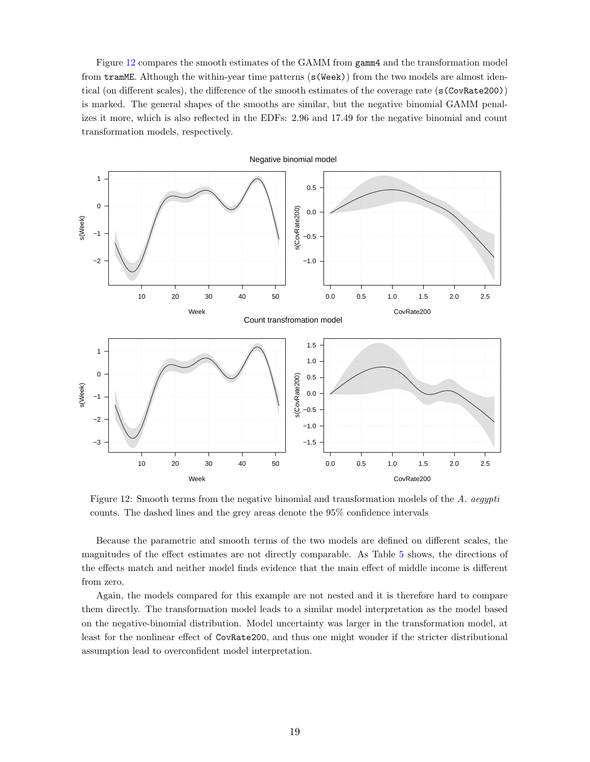Figure [12](#page-18-0) compares the smooth estimates of the GAMM from gamm4 and the transformation model from tramME. Although the within-year time patterns (s(Week)) from the two models are almost identical (on different scales), the difference of the smooth estimates of the coverage rate (s(CovRate200)) is marked. The general shapes of the smooths are similar, but the negative binomial GAMM penalizes it more, which is also reflected in the EDFs: 2.96 and 17.49 for the negative binomial and count transformation models, respectively.

<span id="page-18-0"></span>

Figure 12: Smooth terms from the negative binomial and transformation models of the A. aegypti counts. The dashed lines and the grey areas denote the 95% confidence intervals

Because the parametric and smooth terms of the two models are defined on different scales, the magnitudes of the effect estimates are not directly comparable. As Table [5](#page-19-0) shows, the directions of the effects match and neither model finds evidence that the main effect of middle income is different from zero.

Again, the models compared for this example are not nested and it is therefore hard to compare them directly. The transformation model leads to a similar model interpretation as the model based on the negative-binomial distribution. Model uncertainty was larger in the transformation model, at least for the nonlinear effect of CovRate200, and thus one might wonder if the stricter distributional assumption lead to overconfident model interpretation.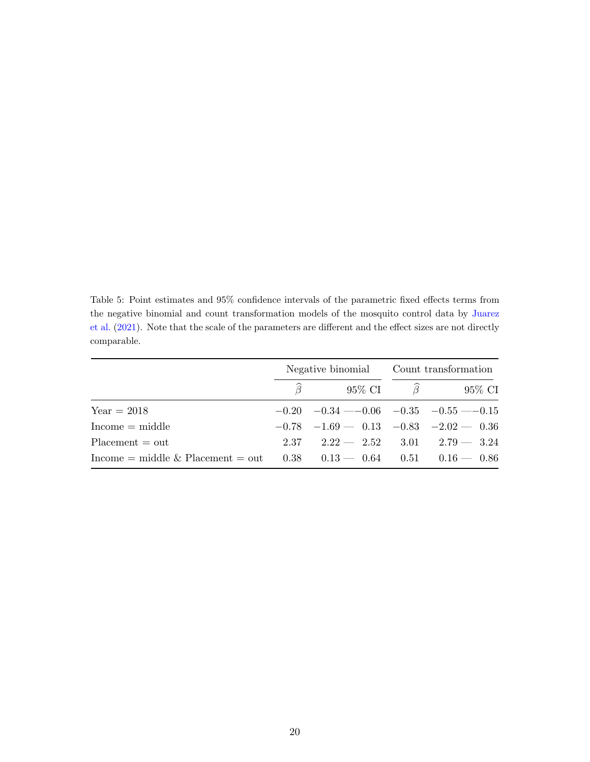<span id="page-19-0"></span>Table 5: Point estimates and 95% confidence intervals of the parametric fixed effects terms from the negative binomial and count transformation models of the mosquito control data by [Juarez](#page-20-11) [et al.](#page-20-11) [\(2021\)](#page-20-11). Note that the scale of the parameters are different and the effect sizes are not directly comparable.

|                                                                             |                                                 | Negative binomial Count transformation |                                   |  |
|-----------------------------------------------------------------------------|-------------------------------------------------|----------------------------------------|-----------------------------------|--|
|                                                                             |                                                 |                                        | 95\% CI $\widehat{\beta}$ 95\% CI |  |
| $Year = 2018$                                                               | $-0.20$ $-0.34$ $-0.06$ $-0.35$ $-0.55$ $-0.15$ |                                        |                                   |  |
| $Income = middle$                                                           | $-0.78$ $-1.69 - 0.13$ $-0.83$ $-2.02 - 0.36$   |                                        |                                   |  |
| $Placent = out$                                                             | $2.37$ $2.22 - 2.52$ $3.01$ $2.79 - 3.24$       |                                        |                                   |  |
| Income = middle & Placement = out $0.38$ $0.13 - 0.64$ $0.51$ $0.16 - 0.86$ |                                                 |                                        |                                   |  |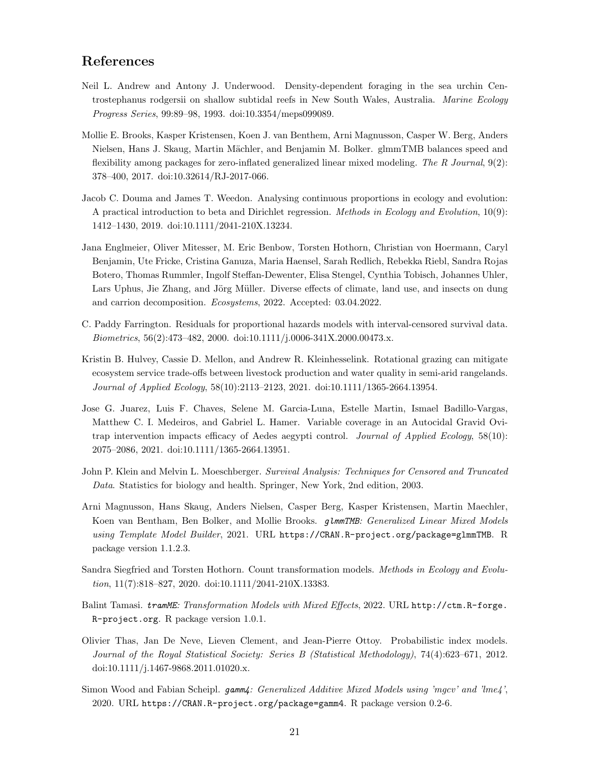### References

- <span id="page-20-7"></span>Neil L. Andrew and Antony J. Underwood. Density-dependent foraging in the sea urchin Centrostephanus rodgersii on shallow subtidal reefs in New South Wales, Australia. Marine Ecology Progress Series, 99:89–98, 1993. doi[:10.3354/meps099089.](https://doi.org/10.3354/meps099089)
- <span id="page-20-9"></span>Mollie E. Brooks, Kasper Kristensen, Koen J. van Benthem, Arni Magnusson, Casper W. Berg, Anders Nielsen, Hans J. Skaug, Martin Mächler, and Benjamin M. Bolker. glmmTMB balances speed and flexibility among packages for zero-inflated generalized linear mixed modeling. The  $R$  Journal,  $9(2)$ : 378–400, 2017. doi[:10.32614/RJ-2017-066.](https://doi.org/10.32614/RJ-2017-066)
- <span id="page-20-8"></span>Jacob C. Douma and James T. Weedon. Analysing continuous proportions in ecology and evolution: A practical introduction to beta and Dirichlet regression. Methods in Ecology and Evolution, 10(9): 1412–1430, 2019. doi[:10.1111/2041-210X.13234.](https://doi.org/10.1111/2041-210X.13234)
- <span id="page-20-0"></span>Jana Englmeier, Oliver Mitesser, M. Eric Benbow, Torsten Hothorn, Christian von Hoermann, Caryl Benjamin, Ute Fricke, Cristina Ganuza, Maria Haensel, Sarah Redlich, Rebekka Riebl, Sandra Rojas Botero, Thomas Rummler, Ingolf Steffan-Dewenter, Elisa Stengel, Cynthia Tobisch, Johannes Uhler, Lars Uphus, Jie Zhang, and Jörg Müller. Diverse effects of climate, land use, and insects on dung and carrion decomposition. Ecosystems, 2022. Accepted: 03.04.2022.
- <span id="page-20-2"></span>C. Paddy Farrington. Residuals for proportional hazards models with interval-censored survival data. Biometrics, 56(2):473–482, 2000. doi[:10.1111/j.0006-341X.2000.00473.x.](https://doi.org/10.1111/j.0006-341X.2000.00473.x)
- <span id="page-20-3"></span>Kristin B. Hulvey, Cassie D. Mellon, and Andrew R. Kleinhesselink. Rotational grazing can mitigate ecosystem service trade-offs between livestock production and water quality in semi-arid rangelands. Journal of Applied Ecology, 58(10):2113–2123, 2021. doi[:10.1111/1365-2664.13954.](https://doi.org/10.1111/1365-2664.13954)
- <span id="page-20-11"></span>Jose G. Juarez, Luis F. Chaves, Selene M. Garcia-Luna, Estelle Martin, Ismael Badillo-Vargas, Matthew C. I. Medeiros, and Gabriel L. Hamer. Variable coverage in an Autocidal Gravid Ovitrap intervention impacts efficacy of Aedes aegypti control. Journal of Applied Ecology, 58(10): 2075–2086, 2021. doi[:10.1111/1365-2664.13951.](https://doi.org/10.1111/1365-2664.13951)
- <span id="page-20-1"></span>John P. Klein and Melvin L. Moeschberger. Survival Analysis: Techniques for Censored and Truncated Data. Statistics for biology and health. Springer, New York, 2nd edition, 2003.
- <span id="page-20-10"></span>Arni Magnusson, Hans Skaug, Anders Nielsen, Casper Berg, Kasper Kristensen, Martin Maechler, Koen van Bentham, Ben Bolker, and Mollie Brooks. glmmTMB: Generalized Linear Mixed Models using Template Model Builder, 2021. URL <https://CRAN.R-project.org/package=glmmTMB>. R package version 1.1.2.3.
- <span id="page-20-12"></span>Sandra Siegfried and Torsten Hothorn. Count transformation models. Methods in Ecology and Evolution, 11(7):818–827, 2020. doi[:10.1111/2041-210X.13383.](https://doi.org/10.1111/2041-210X.13383)
- <span id="page-20-4"></span>Balint Tamasi. tramME: Transformation Models with Mixed Effects, 2022. URL [http://ctm.R-forge.](http://ctm.R-forge.R-project.org) [R-project.org](http://ctm.R-forge.R-project.org). R package version 1.0.1.
- <span id="page-20-6"></span>Olivier Thas, Jan De Neve, Lieven Clement, and Jean-Pierre Ottoy. Probabilistic index models. Journal of the Royal Statistical Society: Series B (Statistical Methodology), 74(4):623–671, 2012. doi[:10.1111/j.1467-9868.2011.01020.x.](https://doi.org/10.1111/j.1467-9868.2011.01020.x)
- <span id="page-20-5"></span>Simon Wood and Fabian Scheipl. gamm4: Generalized Additive Mixed Models using 'mgcv' and 'lme4', 2020. URL <https://CRAN.R-project.org/package=gamm4>. R package version 0.2-6.